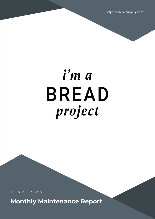https://serenesurgery.com/

# i'm a **BREAD** project

04/01/2022 - 04/30/2022

**Monthly Maintenance Report**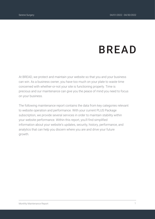# **BREAD**

At BREAD, we protect and maintain your website so that you and your business can win. As a business owner, you have too much on your plate to waste time concerned with whether-or-not your site is functioning properly. Time is precious and our maintenance can give you the peace of mind you need to focus on your business.

The following maintenance report contains the data from key categories relevant to website operation and performance. With your current PLUS Package subscription, we provide several services in order to maintain stability within your website performance. Within this report, you'll find simplified information about your website's updates, security, history, performance, and analytics that can help you discern where you are and drive your future growth.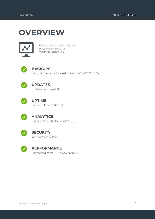## **OVERVIEW**



Website: https://serenesurgery.com/ IP Address: 34.105.30.128 WordPress Version: 5.9.2



#### **BACKUPS**

Backups created: 93; Latest one on: 05/03/2022 12:22



#### **UPDATES**

Updates performed: 3



#### **UPTIME**

Overall uptime: 100.000%



#### **ANALYTICS**

Pageviews: 1036; Site sessions: 557



#### **SECURITY**

Your website is safe



#### **PERFORMANCE**

PageSpeed score: 91; YSlow score: 89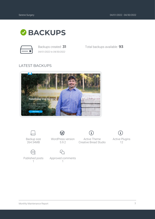

*04/01/2022 to 04/30/2022*

Backups created: **31** Total backups available: **93**

#### LATEST BACKUPS





Backup size 264.54MB

 $\odot$ Published posts 1



WordPress version 5.9.2

Approved comments 1



i,



Active Plugins 12

Monthly Maintenance Report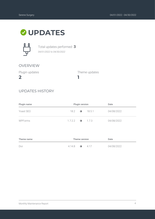### **UPDATES**



Total updates performed: **3** *04/01/2022 to 04/30/2022*

#### OVERVIEW

Plugin updates

**2**

Theme updates

#### UPDATES HISTORY

| Plugin name | <b>Plugin version</b>       |  | Date |            |
|-------------|-----------------------------|--|------|------------|
| Yoast SEO   | $18.2 \rightarrow 18.5.1$   |  |      | 04/08/2022 |
| WPForms     | $1.7.2.2 \rightarrow 1.7.3$ |  |      | 04/08/2022 |

**1**

| Theme name | Theme version        |     | Date       |
|------------|----------------------|-----|------------|
| Divi       | $4.14.8 \rightarrow$ | 417 | 04/08/2022 |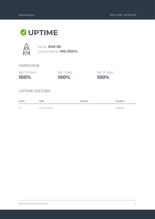## **UPTIME**



Up for: **60d 8h** Overall Uptime: **100.000%**

#### OVERVIEW

last 24 hours

**100%**

**100%** last 7 days last 30 days

**100%**

#### UPTIME HISTORY

| Event | Date       | Reason | Duration |
|-------|------------|--------|----------|
| UP    | 03/01/2022 | $\sim$ | 60d 8h   |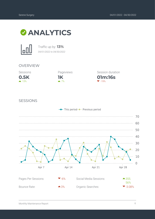



Traffic up by: **13%** *04/01/2022 to 04/30/2022*

#### OVERVIEW





**01m:16s** Session duration  $-19%$ 

#### SESSIONS

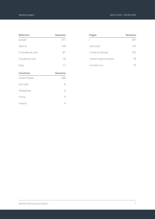| <b>Referrers</b>     | <b>Sessions</b> |
|----------------------|-----------------|
| google               | 271             |
| (direct)             | 129             |
| m.facebook.com       | 81              |
| I.facebook.com       | 18              |
| bing                 | 17              |
| Countries            | <b>Sessions</b> |
| <b>United States</b> | 530             |
| (not set)            | 6               |
| Philippines          | 5               |
| China                | 5               |

Ireland 4

| Pages                  | Sessions |
|------------------------|----------|
|                        | 521      |
| /services/             | 127      |
| /meet-dr-bishop/       | 107      |
| /career-opportunities/ | 74       |
| /contact-us/           | 73       |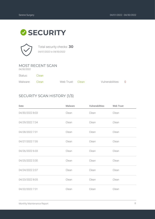# **SECURITY**



Total security checks: **30** *04/01/2022 to 04/30/2022*

#### MOST RECENT SCAN

*04/30/2022*

Status: Clean

| Malware: Clean | Web Trust: Clean | Vulnerabilities: 0 |  |
|----------------|------------------|--------------------|--|

#### SECURITY SCAN HISTORY (1/3)

| Date            | <b>Malware</b> | <b>Vulnerabilities</b> | <b>Web Trust</b> |
|-----------------|----------------|------------------------|------------------|
| 04/30/2022 8:03 | Clean          | Clean                  | Clean            |
| 04/29/2022 7:34 | Clean          | Clean                  | Clean            |
| 04/28/2022 7:31 | Clean          | Clean                  | Clean            |
| 04/27/2022 7:35 | Clean          | Clean                  | Clean            |
| 04/26/2022 6:03 | Clean          | Clean                  | Clean            |
| 04/25/2022 3:30 | Clean          | Clean                  | Clean            |
| 04/24/2022 2:07 | Clean          | Clean                  | Clean            |
| 04/23/2022 8:05 | Clean          | Clean                  | Clean            |
| 04/22/2022 7:31 | Clean          | Clean                  | Clean            |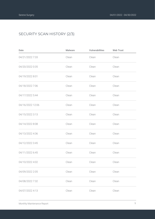#### SECURITY SCAN HISTORY (2/3)

| Date             | <b>Malware</b> | Vulnerabilities | <b>Web Trust</b> |
|------------------|----------------|-----------------|------------------|
| 04/21/2022 7:33  | Clean          | Clean           | Clean            |
| 04/20/2022 0:35  | Clean          | Clean           | Clean            |
| 04/19/2022 8:01  | Clean          | Clean           | Clean            |
| 04/18/2022 7:06  | Clean          | Clean           | Clean            |
| 04/17/2022 5:44  | Clean          | Clean           | Clean            |
| 04/16/2022 12:06 | Clean          | Clean           | Clean            |
| 04/15/2022 3:13  | Clean          | Clean           | Clean            |
| 04/14/2022 8:08  | Clean          | Clean           | Clean            |
| 04/13/2022 4:36  | Clean          | Clean           | Clean            |
| 04/12/2022 3:45  | Clean          | Clean           | Clean            |
| 04/11/2022 6:45  | Clean          | Clean           | Clean            |
| 04/10/2022 4:02  | Clean          | Clean           | Clean            |
| 04/09/2022 2:05  | Clean          | Clean           | Clean            |
| 04/08/2022 7:32  | Clean          | Clean           | Clean            |
| 04/07/2022 4:13  | Clean          | Clean           | Clean            |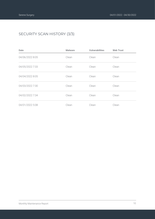#### SECURITY SCAN HISTORY (3/3)

| Date            | <b>Malware</b> | <b>Vulnerabilities</b> | <b>Web Trust</b> |
|-----------------|----------------|------------------------|------------------|
| 04/06/2022 8:05 | Clean          | Clean                  | Clean            |
| 04/05/2022 7:33 | Clean          | Clean                  | Clean            |
| 04/04/2022 8:05 | Clean          | Clean                  | Clean            |
| 04/03/2022 7:30 | Clean          | Clean                  | Clean            |
| 04/02/2022 7:34 | Clean          | Clean                  | Clean            |
| 04/01/2022 5:08 | Clean          | Clean                  | Clean            |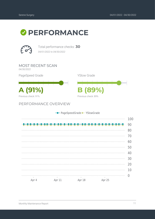# *O* PERFORMANCE



Total performance checks: **30** *04/01/2022 to 04/30/2022*

MOST RECENT SCAN *04/30/2022*

PageSpeed Grade

**A (91%) B (89%)** Previous check: 91%

PERFORMANCE OVERVIEW

|                |              | - PageSpeedGrade - YSlowGrade |                |     |
|----------------|--------------|-------------------------------|----------------|-----|
|                |              |                               |                | 100 |
|                |              |                               |                | 90  |
|                |              |                               |                | 80  |
|                |              |                               |                | 70  |
|                |              |                               |                | 60  |
|                |              |                               |                | 50  |
|                |              |                               |                | 40  |
|                |              |                               |                | 30  |
|                |              |                               |                | 20  |
|                |              |                               |                | 10  |
| $\blacksquare$ | $\mathbf{1}$ | $\blacksquare$                | $\blacksquare$ |     |
| Apr 4          | Apr 11       | Apr 18                        | Apr 25         |     |

YSlow Grade

Previous check: 89%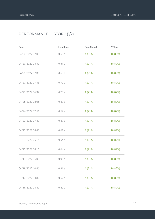#### PERFORMANCE HISTORY (1/2)

| Date             | Load time | PageSpeed | YSlow   |
|------------------|-----------|-----------|---------|
| 04/30/2022 07:08 | 0.60s     | A (91%)   | B (89%) |
| 04/29/2022 03:39 | 0.61s     | A (91%)   | B (89%) |
| 04/28/2022 07:36 | 0.63s     | A (91%)   | B (89%) |
| 04/27/2022 07:35 | 0.72s     | A (91%)   | B (89%) |
| 04/26/2022 06:37 | 0.70s     | A (91%)   | B (89%) |
| 04/25/2022 08:05 | 0.67s     | A (91%)   | B (89%) |
| 04/24/2022 07:51 | 0.57s     | A (91%)   | B (89%) |
| 04/23/2022 07:40 | 0.57s     | A (91%)   | B (89%) |
| 04/22/2022 04:48 | 0.61s     | A (91%)   | B (89%) |
| 04/21/2022 05:16 | 0.64s     | A (91%)   | B (89%) |
| 04/20/2022 08:16 | 0.64s     | A (91%)   | B (89%) |
| 04/19/2022 05:05 | 0.96s     | A (91%)   | B (89%) |
| 04/18/2022 10:46 | 0.81 s    | A (91%)   | B (89%) |
| 04/17/2022 14:32 | 0.62s     | A (91%)   | B (89%) |
| 04/16/2022 03:42 | 0.59s     | A (91%)   | B (89%) |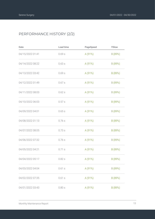#### PERFORMANCE HISTORY (2/2)

| Date             | Load time | PageSpeed | YSlow   |
|------------------|-----------|-----------|---------|
| 04/15/2022 01:41 | 0.69s     | A (91%)   | B (89%) |
| 04/14/2022 08:22 | 0.63s     | A (91%)   | B (89%) |
| 04/13/2022 03:42 | 0.69s     | A (91%)   | B (89%) |
| 04/12/2022 01:49 | 0.67s     | A (91%)   | B (89%) |
| 04/11/2022 08:03 | 0.62s     | A (91%)   | B (89%) |
| 04/10/2022 06:03 | 0.57s     | A (91%)   | B (89%) |
| 04/09/2022 04:01 | 0.65s     | A (91%)   | B (89%) |
| 04/08/2022 01:13 | 0.76s     | A (91%)   | B (89%) |
| 04/07/2022 08:05 | 0.73s     | A (91%)   | B (89%) |
| 04/06/2022 07:32 | 0.76s     | A (91%)   | B (89%) |
| 04/05/2022 04:21 | 0.71 s    | A (91%)   | B (89%) |
| 04/04/2022 05:17 | 0.82s     | A (91%)   | B (89%) |
| 04/03/2022 04:04 | 0.61s     | A (91%)   | B (89%) |
| 04/02/2022 07:35 | 0.61s     | A (91%)   | B (89%) |
| 04/01/2022 03:43 | 0.80s     | A (91%)   | B (89%) |